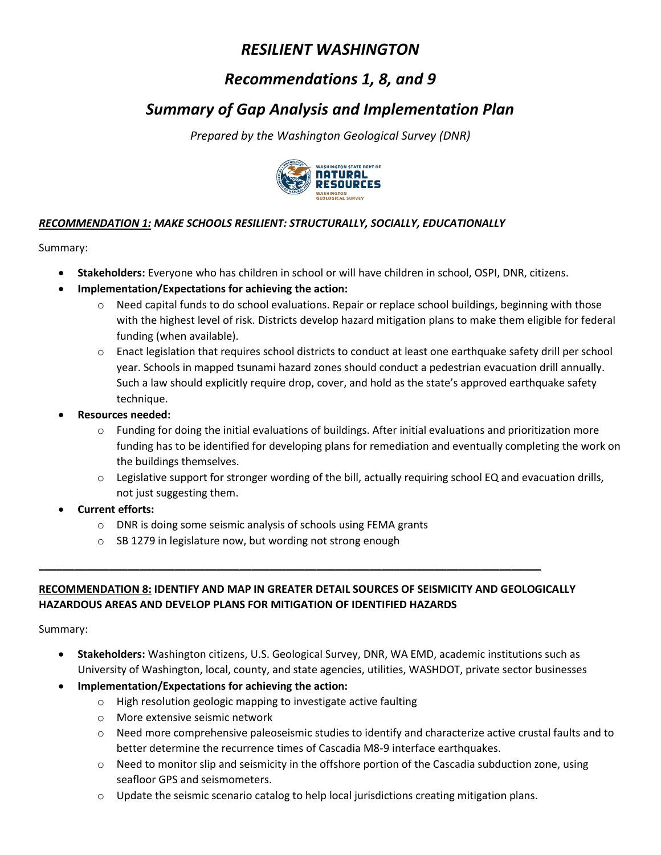# *Recommendations 1, 8, and 9*

# *Summary of Gap Analysis and Implementation Plan*

*Prepared by the Washington Geological Survey (DNR)* 



### *RECOMMENDATION 1: MAKE SCHOOLS RESILIENT: STRUCTURALLY, SOCIALLY, EDUCATIONALLY*

Summary:

- **Stakeholders:** Everyone who has children in school or will have children in school, OSPI, DNR, citizens.
- **Implementation/Expectations for achieving the action:** 
	- $\circ$  Need capital funds to do school evaluations. Repair or replace school buildings, beginning with those with the highest level of risk. Districts develop hazard mitigation plans to make them eligible for federal funding (when available).
	- o Enact legislation that requires school districts to conduct at least one earthquake safety drill per school year. Schools in mapped tsunami hazard zones should conduct a pedestrian evacuation drill annually. Such a law should explicitly require drop, cover, and hold as the state's approved earthquake safety technique.
- **Resources needed:**
	- $\circ$  Funding for doing the initial evaluations of buildings. After initial evaluations and prioritization more funding has to be identified for developing plans for remediation and eventually completing the work on the buildings themselves.
	- $\circ$  Legislative support for stronger wording of the bill, actually requiring school EQ and evacuation drills, not just suggesting them.
- **Current efforts:** 
	- o DNR is doing some seismic analysis of schools using FEMA grants
	- o SB 1279 in legislature now, but wording not strong enough

## **RECOMMENDATION 8: IDENTIFY AND MAP IN GREATER DETAIL SOURCES OF SEISMICITY AND GEOLOGICALLY HAZARDOUS AREAS AND DEVELOP PLANS FOR MITIGATION OF IDENTIFIED HAZARDS**

**\_\_\_\_\_\_\_\_\_\_\_\_\_\_\_\_\_\_\_\_\_\_\_\_\_\_\_\_\_\_\_\_\_\_\_\_\_\_\_\_\_\_\_\_\_\_\_\_\_\_\_\_\_\_\_\_\_\_\_\_\_\_\_\_\_\_\_\_\_\_\_\_\_\_\_\_\_\_\_\_\_\_\_\_\_**

Summary:

- **Stakeholders:** Washington citizens, U.S. Geological Survey, DNR, WA EMD, academic institutions such as University of Washington, local, county, and state agencies, utilities, WASHDOT, private sector businesses
- **Implementation/Expectations for achieving the action:** 
	- o High resolution geologic mapping to investigate active faulting
	- o More extensive seismic network
	- $\circ$  Need more comprehensive paleoseismic studies to identify and characterize active crustal faults and to better determine the recurrence times of Cascadia M8-9 interface earthquakes.
	- o Need to monitor slip and seismicity in the offshore portion of the Cascadia subduction zone, using seafloor GPS and seismometers.
	- $\circ$  Update the seismic scenario catalog to help local jurisdictions creating mitigation plans.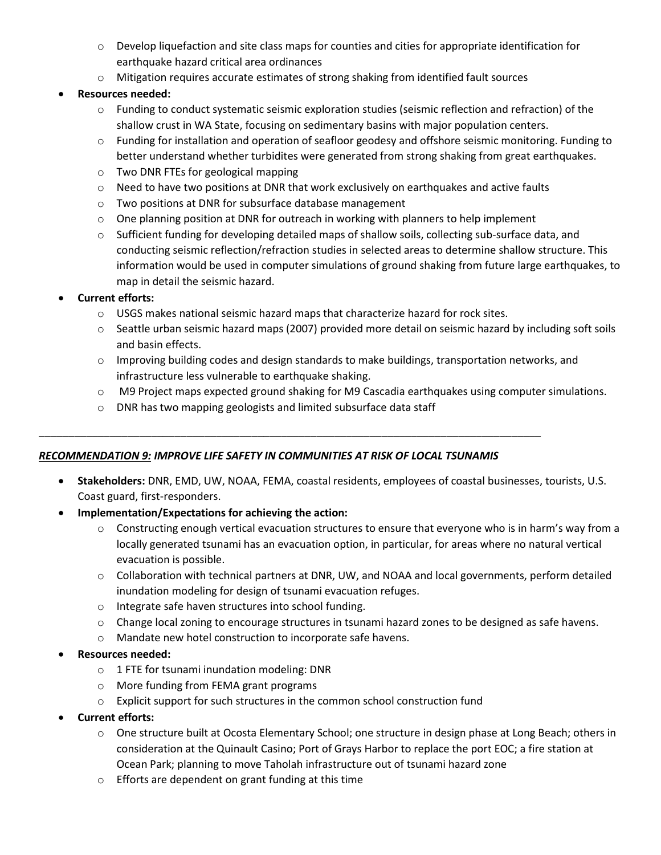- o Develop liquefaction and site class maps for counties and cities for appropriate identification for earthquake hazard critical area ordinances
- $\circ$  Mitigation requires accurate estimates of strong shaking from identified fault sources

### **Resources needed:**

- o Funding to conduct systematic seismic exploration studies (seismic reflection and refraction) of the shallow crust in WA State, focusing on sedimentary basins with major population centers.
- $\circ$  Funding for installation and operation of seafloor geodesy and offshore seismic monitoring. Funding to better understand whether turbidites were generated from strong shaking from great earthquakes.
- o Two DNR FTEs for geological mapping
- o Need to have two positions at DNR that work exclusively on earthquakes and active faults
- o Two positions at DNR for subsurface database management
- $\circ$  One planning position at DNR for outreach in working with planners to help implement
- $\circ$  Sufficient funding for developing detailed maps of shallow soils, collecting sub-surface data, and conducting seismic reflection/refraction studies in selected areas to determine shallow structure. This information would be used in computer simulations of ground shaking from future large earthquakes, to map in detail the seismic hazard.

#### **Current efforts:**

- $\circ$  USGS makes national seismic hazard maps that characterize hazard for rock sites.
- o Seattle urban seismic hazard maps (2007) provided more detail on seismic hazard by including soft soils and basin effects.
- $\circ$  Improving building codes and design standards to make buildings, transportation networks, and infrastructure less vulnerable to earthquake shaking.
- o M9 Project maps expected ground shaking for M9 Cascadia earthquakes using computer simulations.
- o DNR has two mapping geologists and limited subsurface data staff

#### *RECOMMENDATION 9: IMPROVE LIFE SAFETY IN COMMUNITIES AT RISK OF LOCAL TSUNAMIS*

\_\_\_\_\_\_\_\_\_\_\_\_\_\_\_\_\_\_\_\_\_\_\_\_\_\_\_\_\_\_\_\_\_\_\_\_\_\_\_\_\_\_\_\_\_\_\_\_\_\_\_\_\_\_\_\_\_\_\_\_\_\_\_\_\_\_\_\_\_\_\_\_\_\_\_\_\_\_\_\_\_\_\_\_\_

- **Stakeholders:** DNR, EMD, UW, NOAA, FEMA, coastal residents, employees of coastal businesses, tourists, U.S. Coast guard, first-responders.
- **Implementation/Expectations for achieving the action:** 
	- $\circ$  Constructing enough vertical evacuation structures to ensure that everyone who is in harm's way from a locally generated tsunami has an evacuation option, in particular, for areas where no natural vertical evacuation is possible.
	- $\circ$  Collaboration with technical partners at DNR, UW, and NOAA and local governments, perform detailed inundation modeling for design of tsunami evacuation refuges.
	- o Integrate safe haven structures into school funding.
	- o Change local zoning to encourage structures in tsunami hazard zones to be designed as safe havens.
	- o Mandate new hotel construction to incorporate safe havens.
- **Resources needed:**
	- o 1 FTE for tsunami inundation modeling: DNR
	- o More funding from FEMA grant programs
	- $\circ$  Explicit support for such structures in the common school construction fund
- **Current efforts:** 
	- o One structure built at Ocosta Elementary School; one structure in design phase at Long Beach; others in consideration at the Quinault Casino; Port of Grays Harbor to replace the port EOC; a fire station at Ocean Park; planning to move Taholah infrastructure out of tsunami hazard zone
	- o Efforts are dependent on grant funding at this time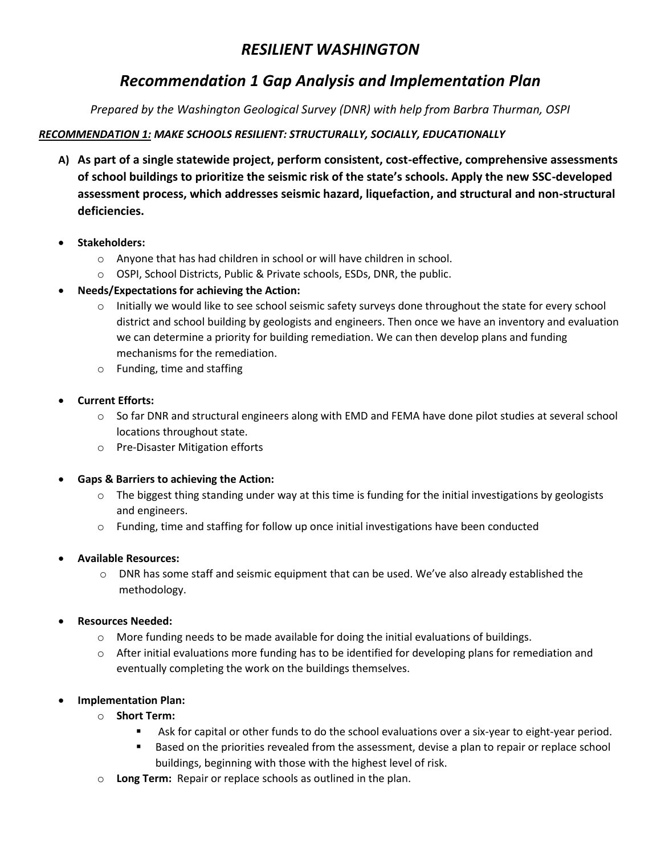# *Recommendation 1 Gap Analysis and Implementation Plan*

*Prepared by the Washington Geological Survey (DNR) with help from Barbra Thurman, OSPI*

## *RECOMMENDATION 1: MAKE SCHOOLS RESILIENT: STRUCTURALLY, SOCIALLY, EDUCATIONALLY*

- **A) As part of a single statewide project, perform consistent, cost-effective, comprehensive assessments of school buildings to prioritize the seismic risk of the state's schools. Apply the new SSC-developed assessment process, which addresses seismic hazard, liquefaction, and structural and non-structural deficiencies.**
- **Stakeholders:** 
	- o Anyone that has had children in school or will have children in school.
	- o OSPI, School Districts, Public & Private schools, ESDs, DNR, the public.
- **Needs/Expectations for achieving the Action:**
	- $\circ$  Initially we would like to see school seismic safety surveys done throughout the state for every school district and school building by geologists and engineers. Then once we have an inventory and evaluation we can determine a priority for building remediation. We can then develop plans and funding mechanisms for the remediation.
	- o Funding, time and staffing
- **Current Efforts:**
	- $\circ$  So far DNR and structural engineers along with EMD and FEMA have done pilot studies at several school locations throughout state.
	- o Pre-Disaster Mitigation efforts
- **Gaps & Barriers to achieving the Action:**
	- $\circ$  The biggest thing standing under way at this time is funding for the initial investigations by geologists and engineers.
	- $\circ$  Funding, time and staffing for follow up once initial investigations have been conducted
- **Available Resources:**
	- $\circ$  DNR has some staff and seismic equipment that can be used. We've also already established the methodology.
- **Resources Needed:**
	- $\circ$  More funding needs to be made available for doing the initial evaluations of buildings.
	- $\circ$  After initial evaluations more funding has to be identified for developing plans for remediation and eventually completing the work on the buildings themselves.
- **Implementation Plan:**
	- o **Short Term:**
		- Ask for capital or other funds to do the school evaluations over a six-year to eight-year period.
		- Based on the priorities revealed from the assessment, devise a plan to repair or replace school buildings, beginning with those with the highest level of risk.
	- o **Long Term:** Repair or replace schools as outlined in the plan.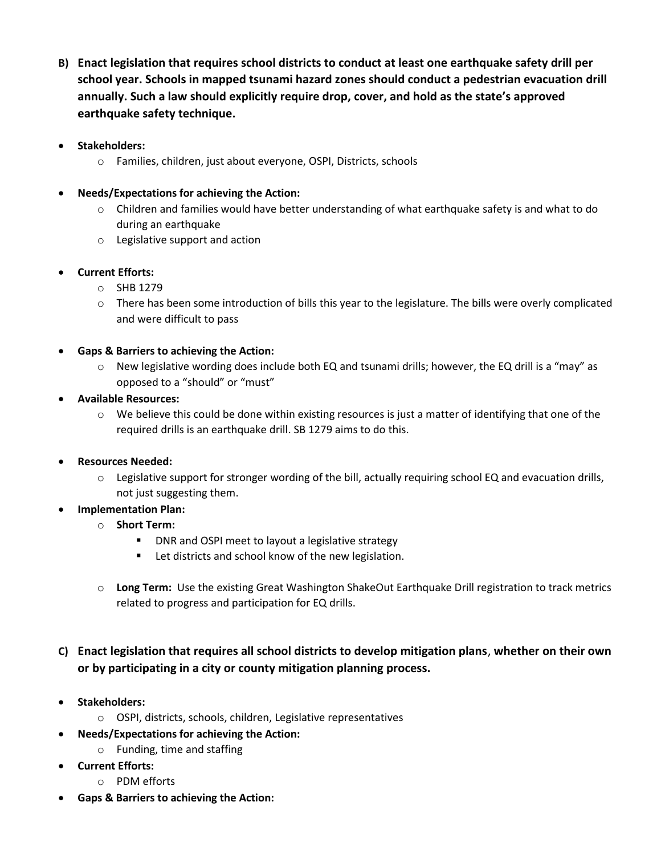- **B) Enact legislation that requires school districts to conduct at least one earthquake safety drill per school year. Schools in mapped tsunami hazard zones should conduct a pedestrian evacuation drill annually. Such a law should explicitly require drop, cover, and hold as the state's approved earthquake safety technique.**
- **Stakeholders:**
	- o Families, children, just about everyone, OSPI, Districts, schools

#### **Needs/Expectations for achieving the Action:**

- $\circ$  Children and families would have better understanding of what earthquake safety is and what to do during an earthquake
- o Legislative support and action
- **Current Efforts:**
	- o SHB 1279
	- $\circ$  There has been some introduction of bills this year to the legislature. The bills were overly complicated and were difficult to pass
- **Gaps & Barriers to achieving the Action:**
	- $\circ$  New legislative wording does include both EQ and tsunami drills; however, the EQ drill is a "may" as opposed to a "should" or "must"
- **Available Resources:**
	- $\circ$  We believe this could be done within existing resources is just a matter of identifying that one of the required drills is an earthquake drill. SB 1279 aims to do this.
- **Resources Needed:**
	- $\circ$  Legislative support for stronger wording of the bill, actually requiring school EQ and evacuation drills, not just suggesting them.
- **Implementation Plan:**
	- o **Short Term:**
		- **DNR and OSPI meet to layout a legislative strategy**
		- Let districts and school know of the new legislation.
	- o **Long Term:** Use the existing Great Washington ShakeOut Earthquake Drill registration to track metrics related to progress and participation for EQ drills.

# **C) Enact legislation that requires all school districts to develop mitigation plans**, **whether on their own or by participating in a city or county mitigation planning process.**

- **Stakeholders:**
	- o OSPI, districts, schools, children, Legislative representatives
- **Needs/Expectations for achieving the Action:**
	- o Funding, time and staffing
- **Current Efforts:**
	- o PDM efforts
- **Gaps & Barriers to achieving the Action:**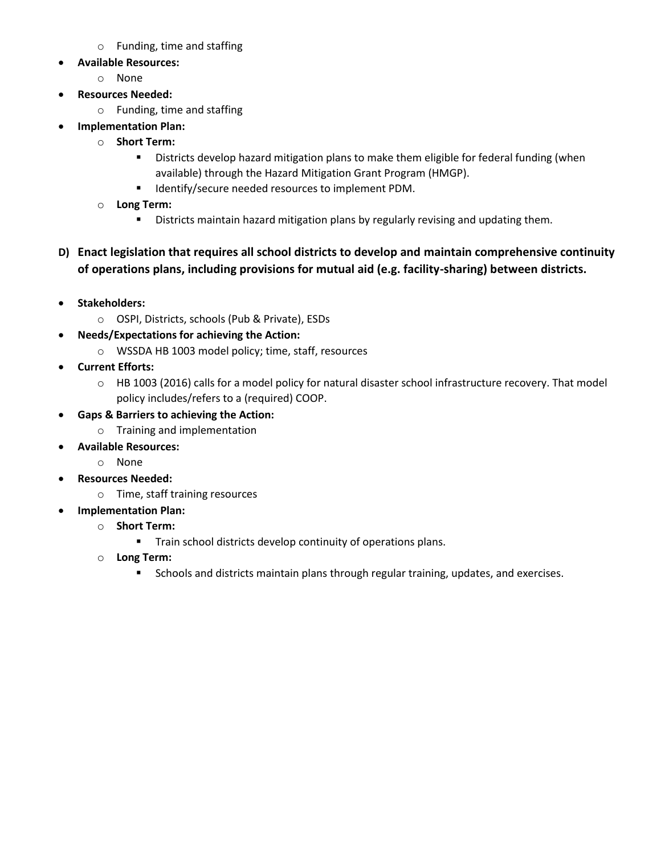- o Funding, time and staffing
- **Available Resources:**
	- o None
- **Resources Needed:**
	- o Funding, time and staffing
- **Implementation Plan:**
	- o **Short Term:**
		- Districts develop hazard mitigation plans to make them eligible for federal funding (when available) through the Hazard Mitigation Grant Program (HMGP).
		- **IDENTIFY** Identify/secure needed resources to implement PDM.
	- o **Long Term:** 
		- **Districts maintain hazard mitigation plans by regularly revising and updating them.**
- **D) Enact legislation that requires all school districts to develop and maintain comprehensive continuity of operations plans, including provisions for mutual aid (e.g. facility-sharing) between districts.**
- **Stakeholders:**
	- o OSPI, Districts, schools (Pub & Private), ESDs
- **Needs/Expectations for achieving the Action:**
	- o WSSDA HB 1003 model policy; time, staff, resources
- **Current Efforts:**
	- o HB 1003 (2016) calls for a model policy for natural disaster school infrastructure recovery. That model policy includes/refers to a (required) COOP.
- **Gaps & Barriers to achieving the Action:**
	- o Training and implementation
- **Available Resources:**
	- o None
- **Resources Needed:**
	- o Time, staff training resources
- **Implementation Plan:**
	- o **Short Term:**
		- **Train school districts develop continuity of operations plans.**
	- o **Long Term:**
		- **Schools and districts maintain plans through regular training, updates, and exercises.**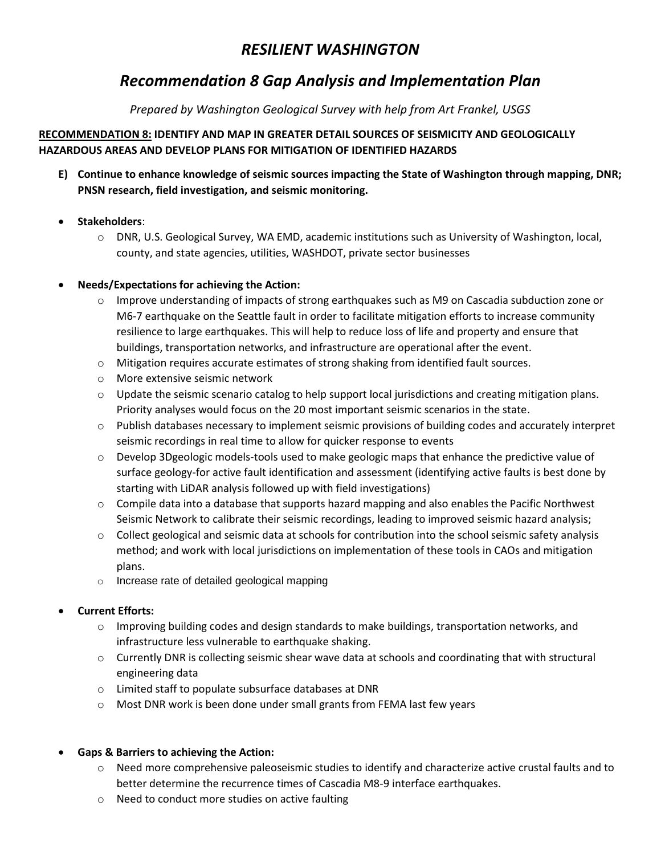# *Recommendation 8 Gap Analysis and Implementation Plan*

*Prepared by Washington Geological Survey with help from Art Frankel, USGS*

### **RECOMMENDATION 8: IDENTIFY AND MAP IN GREATER DETAIL SOURCES OF SEISMICITY AND GEOLOGICALLY HAZARDOUS AREAS AND DEVELOP PLANS FOR MITIGATION OF IDENTIFIED HAZARDS**

**E) Continue to enhance knowledge of seismic sources impacting the State of Washington through mapping, DNR; PNSN research, field investigation, and seismic monitoring.**

### **Stakeholders**:

o DNR, U.S. Geological Survey, WA EMD, academic institutions such as University of Washington, local, county, and state agencies, utilities, WASHDOT, private sector businesses

### **Needs/Expectations for achieving the Action:**

- $\circ$  Improve understanding of impacts of strong earthquakes such as M9 on Cascadia subduction zone or M6-7 earthquake on the Seattle fault in order to facilitate mitigation efforts to increase community resilience to large earthquakes. This will help to reduce loss of life and property and ensure that buildings, transportation networks, and infrastructure are operational after the event.
- o Mitigation requires accurate estimates of strong shaking from identified fault sources.
- o More extensive seismic network
- $\circ$  Update the seismic scenario catalog to help support local jurisdictions and creating mitigation plans. Priority analyses would focus on the 20 most important seismic scenarios in the state.
- o Publish databases necessary to implement seismic provisions of building codes and accurately interpret seismic recordings in real time to allow for quicker response to events
- o Develop 3Dgeologic models-tools used to make geologic maps that enhance the predictive value of surface geology-for active fault identification and assessment (identifying active faults is best done by starting with LiDAR analysis followed up with field investigations)
- $\circ$  Compile data into a database that supports hazard mapping and also enables the Pacific Northwest Seismic Network to calibrate their seismic recordings, leading to improved seismic hazard analysis;
- $\circ$  Collect geological and seismic data at schools for contribution into the school seismic safety analysis method; and work with local jurisdictions on implementation of these tools in CAOs and mitigation plans.
- o Increase rate of detailed geological mapping

## **Current Efforts:**

- $\circ$  Improving building codes and design standards to make buildings, transportation networks, and infrastructure less vulnerable to earthquake shaking.
- o Currently DNR is collecting seismic shear wave data at schools and coordinating that with structural engineering data
- o Limited staff to populate subsurface databases at DNR
- o Most DNR work is been done under small grants from FEMA last few years

#### **Gaps & Barriers to achieving the Action:**

- $\circ$  Need more comprehensive paleoseismic studies to identify and characterize active crustal faults and to better determine the recurrence times of Cascadia M8-9 interface earthquakes.
- o Need to conduct more studies on active faulting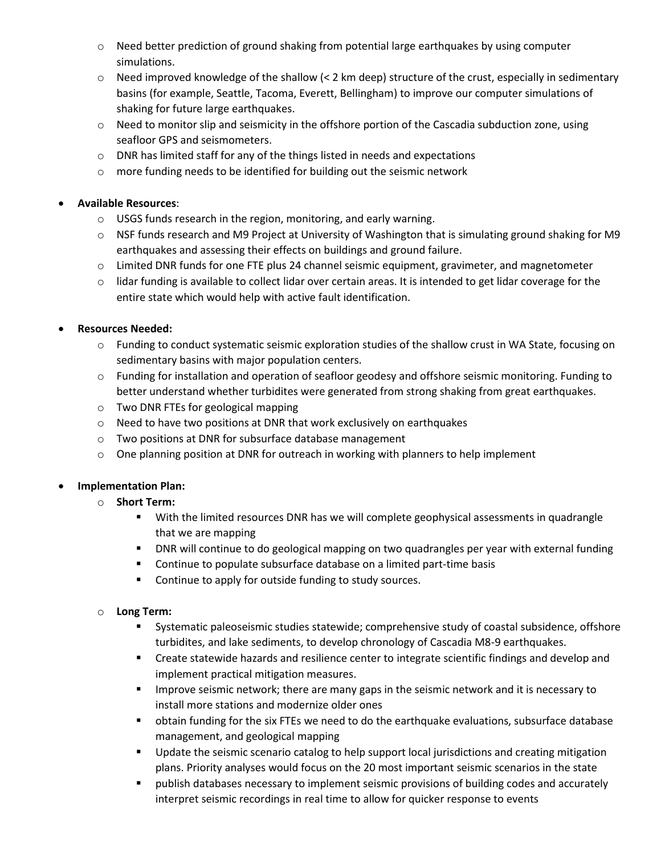- $\circ$  Need better prediction of ground shaking from potential large earthquakes by using computer simulations.
- $\circ$  Need improved knowledge of the shallow (< 2 km deep) structure of the crust, especially in sedimentary basins (for example, Seattle, Tacoma, Everett, Bellingham) to improve our computer simulations of shaking for future large earthquakes.
- $\circ$  Need to monitor slip and seismicity in the offshore portion of the Cascadia subduction zone, using seafloor GPS and seismometers.
- $\circ$  DNR has limited staff for any of the things listed in needs and expectations
- o more funding needs to be identified for building out the seismic network

#### **Available Resources**:

- o USGS funds research in the region, monitoring, and early warning.
- o NSF funds research and M9 Project at University of Washington that is simulating ground shaking for M9 earthquakes and assessing their effects on buildings and ground failure.
- o Limited DNR funds for one FTE plus 24 channel seismic equipment, gravimeter, and magnetometer
- $\circ$  lidar funding is available to collect lidar over certain areas. It is intended to get lidar coverage for the entire state which would help with active fault identification.

### **Resources Needed:**

- o Funding to conduct systematic seismic exploration studies of the shallow crust in WA State, focusing on sedimentary basins with major population centers.
- $\circ$  Funding for installation and operation of seafloor geodesy and offshore seismic monitoring. Funding to better understand whether turbidites were generated from strong shaking from great earthquakes.
- o Two DNR FTEs for geological mapping
- o Need to have two positions at DNR that work exclusively on earthquakes
- o Two positions at DNR for subsurface database management
- $\circ$  One planning position at DNR for outreach in working with planners to help implement

#### **Implementation Plan:**

- o **Short Term:**
	- With the limited resources DNR has we will complete geophysical assessments in quadrangle that we are mapping
	- DNR will continue to do geological mapping on two quadrangles per year with external funding
	- **Continue to populate subsurface database on a limited part-time basis**
	- **Continue to apply for outside funding to study sources.**

#### o **Long Term:**

- Systematic paleoseismic studies statewide; comprehensive study of coastal subsidence, offshore turbidites, and lake sediments, to develop chronology of Cascadia M8-9 earthquakes.
- **EXP** Create statewide hazards and resilience center to integrate scientific findings and develop and implement practical mitigation measures.
- **IMPROVE SEEST AT A 19 SET 2018 IMPLE 12 SET IMPLE 10** IMPROVER and it is necessary to install more stations and modernize older ones
- obtain funding for the six FTEs we need to do the earthquake evaluations, subsurface database management, and geological mapping
- **Update the seismic scenario catalog to help support local jurisdictions and creating mitigation** plans. Priority analyses would focus on the 20 most important seismic scenarios in the state
- publish databases necessary to implement seismic provisions of building codes and accurately interpret seismic recordings in real time to allow for quicker response to events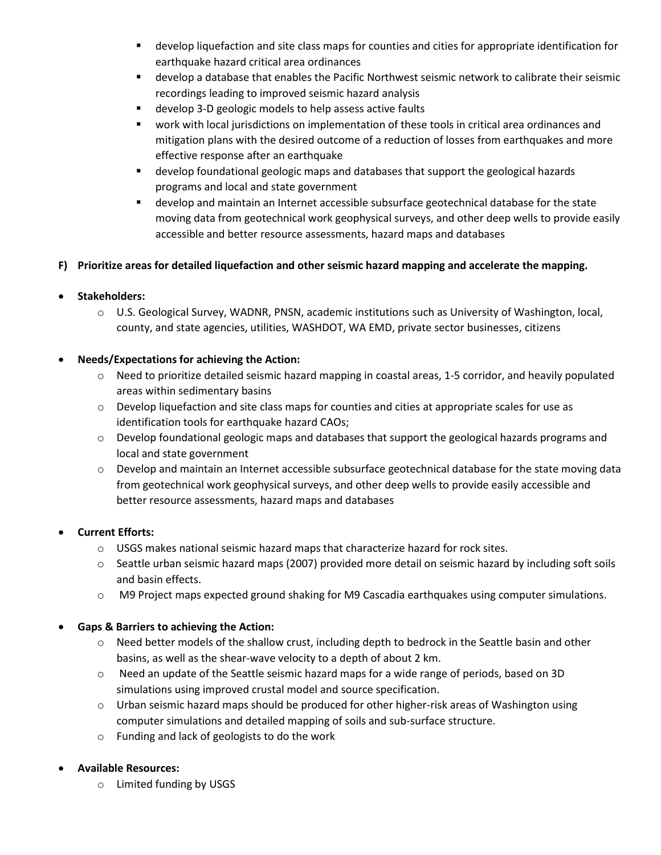- develop liquefaction and site class maps for counties and cities for appropriate identification for earthquake hazard critical area ordinances
- develop a database that enables the Pacific Northwest seismic network to calibrate their seismic recordings leading to improved seismic hazard analysis
- develop 3-D geologic models to help assess active faults
- work with local jurisdictions on implementation of these tools in critical area ordinances and mitigation plans with the desired outcome of a reduction of losses from earthquakes and more effective response after an earthquake
- develop foundational geologic maps and databases that support the geological hazards programs and local and state government
- develop and maintain an Internet accessible subsurface geotechnical database for the state moving data from geotechnical work geophysical surveys, and other deep wells to provide easily accessible and better resource assessments, hazard maps and databases

### **F) Prioritize areas for detailed liquefaction and other seismic hazard mapping and accelerate the mapping.**

### **Stakeholders:**

o U.S. Geological Survey, WADNR, PNSN, academic institutions such as University of Washington, local, county, and state agencies, utilities, WASHDOT, WA EMD, private sector businesses, citizens

#### **Needs/Expectations for achieving the Action:**

- $\circ$  Need to prioritize detailed seismic hazard mapping in coastal areas, 1-5 corridor, and heavily populated areas within sedimentary basins
- $\circ$  Develop liquefaction and site class maps for counties and cities at appropriate scales for use as identification tools for earthquake hazard CAOs;
- o Develop foundational geologic maps and databases that support the geological hazards programs and local and state government
- $\circ$  Develop and maintain an Internet accessible subsurface geotechnical database for the state moving data from geotechnical work geophysical surveys, and other deep wells to provide easily accessible and better resource assessments, hazard maps and databases

#### **Current Efforts:**

- $\circ$  USGS makes national seismic hazard maps that characterize hazard for rock sites.
- o Seattle urban seismic hazard maps (2007) provided more detail on seismic hazard by including soft soils and basin effects.
- o M9 Project maps expected ground shaking for M9 Cascadia earthquakes using computer simulations.

#### **Gaps & Barriers to achieving the Action:**

- o Need better models of the shallow crust, including depth to bedrock in the Seattle basin and other basins, as well as the shear-wave velocity to a depth of about 2 km.
- o Need an update of the Seattle seismic hazard maps for a wide range of periods, based on 3D simulations using improved crustal model and source specification.
- $\circ$  Urban seismic hazard maps should be produced for other higher-risk areas of Washington using computer simulations and detailed mapping of soils and sub-surface structure.
- o Funding and lack of geologists to do the work

#### **Available Resources:**

o Limited funding by USGS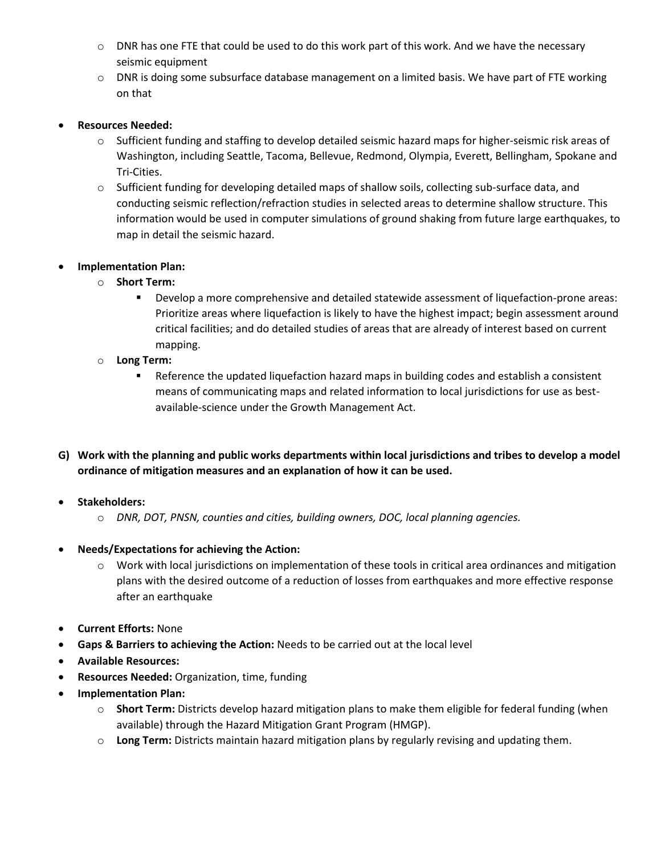- $\circ$  DNR has one FTE that could be used to do this work part of this work. And we have the necessary seismic equipment
- $\circ$  DNR is doing some subsurface database management on a limited basis. We have part of FTE working on that

#### **Resources Needed:**

- o Sufficient funding and staffing to develop detailed seismic hazard maps for higher-seismic risk areas of Washington, including Seattle, Tacoma, Bellevue, Redmond, Olympia, Everett, Bellingham, Spokane and Tri-Cities.
- o Sufficient funding for developing detailed maps of shallow soils, collecting sub-surface data, and conducting seismic reflection/refraction studies in selected areas to determine shallow structure. This information would be used in computer simulations of ground shaking from future large earthquakes, to map in detail the seismic hazard.

### **Implementation Plan:**

- o **Short Term:**
	- Develop a more comprehensive and detailed statewide assessment of liquefaction-prone areas: Prioritize areas where liquefaction is likely to have the highest impact; begin assessment around critical facilities; and do detailed studies of areas that are already of interest based on current mapping.
- o **Long Term:** 
	- Reference the updated liquefaction hazard maps in building codes and establish a consistent means of communicating maps and related information to local jurisdictions for use as bestavailable-science under the Growth Management Act.
- **G) Work with the planning and public works departments within local jurisdictions and tribes to develop a model ordinance of mitigation measures and an explanation of how it can be used.**

#### **•** Stakeholders:

- o *DNR, DOT, PNSN, counties and cities, building owners, DOC, local planning agencies.*
- **Needs/Expectations for achieving the Action:**
	- $\circ$  Work with local jurisdictions on implementation of these tools in critical area ordinances and mitigation plans with the desired outcome of a reduction of losses from earthquakes and more effective response after an earthquake
- **Current Efforts:** None
- **Gaps & Barriers to achieving the Action:** Needs to be carried out at the local level
- **Available Resources:**
- **Resources Needed:** Organization, time, funding
- **Implementation Plan:**
	- o **Short Term:** Districts develop hazard mitigation plans to make them eligible for federal funding (when available) through the Hazard Mitigation Grant Program (HMGP).
	- o **Long Term:** Districts maintain hazard mitigation plans by regularly revising and updating them.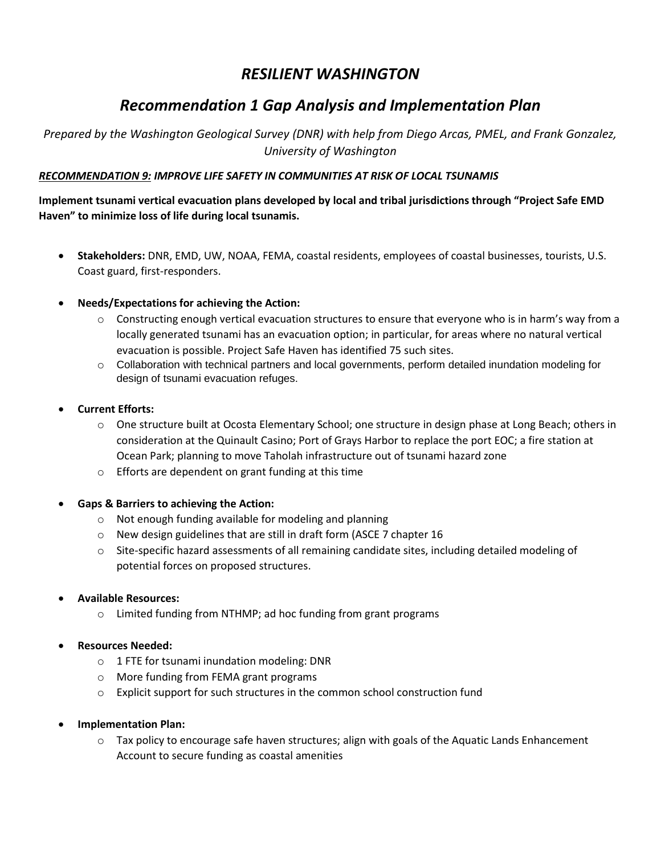# *Recommendation 1 Gap Analysis and Implementation Plan*

*Prepared by the Washington Geological Survey (DNR) with help from Diego Arcas, PMEL, and Frank Gonzalez, University of Washington*

#### *RECOMMENDATION 9: IMPROVE LIFE SAFETY IN COMMUNITIES AT RISK OF LOCAL TSUNAMIS*

**Implement tsunami vertical evacuation plans developed by local and tribal jurisdictions through "Project Safe EMD Haven" to minimize loss of life during local tsunamis.**

- **Stakeholders:** DNR, EMD, UW, NOAA, FEMA, coastal residents, employees of coastal businesses, tourists, U.S. Coast guard, first-responders.
- **Needs/Expectations for achieving the Action:**
	- $\circ$  Constructing enough vertical evacuation structures to ensure that everyone who is in harm's way from a locally generated tsunami has an evacuation option; in particular, for areas where no natural vertical evacuation is possible. Project Safe Haven has identified 75 such sites.
	- o Collaboration with technical partners and local governments, perform detailed inundation modeling for design of tsunami evacuation refuges.
- **Current Efforts:**
	- o One structure built at Ocosta Elementary School; one structure in design phase at Long Beach; others in consideration at the Quinault Casino; Port of Grays Harbor to replace the port EOC; a fire station at Ocean Park; planning to move Taholah infrastructure out of tsunami hazard zone
	- o Efforts are dependent on grant funding at this time
- **Gaps & Barriers to achieving the Action:**
	- o Not enough funding available for modeling and planning
	- o New design guidelines that are still in draft form (ASCE 7 chapter 16
	- o Site-specific hazard assessments of all remaining candidate sites, including detailed modeling of potential forces on proposed structures.
- **Available Resources:**
	- o Limited funding from NTHMP; ad hoc funding from grant programs
- **Resources Needed:**
	- o 1 FTE for tsunami inundation modeling: DNR
	- o More funding from FEMA grant programs
	- $\circ$  Explicit support for such structures in the common school construction fund
- **Implementation Plan:**
	- o Tax policy to encourage safe haven structures; align with goals of the Aquatic Lands Enhancement Account to secure funding as coastal amenities